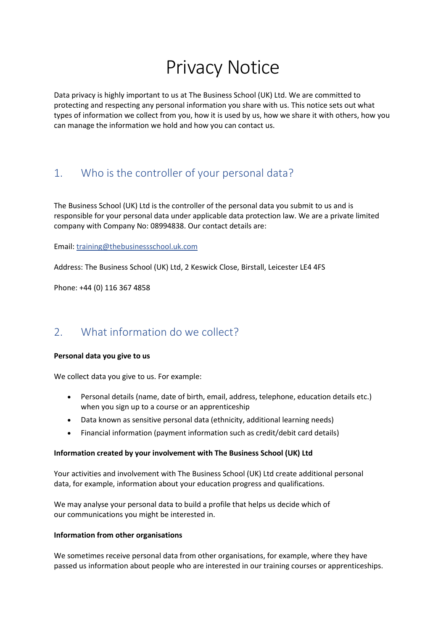# Privacy Notice

Data privacy is highly important to us at The Business School (UK) Ltd. We are committed to protecting and respecting any personal information you share with us. This notice sets out what types of information we collect from you, how it is used by us, how we share it with others, how you can manage the information we hold and how you can contact us.

# 1. Who is the controller of your personal data?

The Business School (UK) Ltd is the controller of the personal data you submit to us and is responsible for your personal data under applicable data protection law. We are a private limited company with Company No: 08994838. Our contact details are:

Email: [training@thebusinessschool.uk.com](mailto:training@thebusinessschool.uk.com)

Address: The Business School (UK) Ltd, 2 Keswick Close, Birstall, Leicester LE4 4FS

Phone: +44 (0) 116 367 4858

# 2. What information do we collect?

#### **Personal data you give to us**

We collect data you give to us. For example:

- Personal details (name, date of birth, email, address, telephone, education details etc.) when you sign up to a course or an apprenticeship
- Data known as sensitive personal data (ethnicity, additional learning needs)
- Financial information (payment information such as credit/debit card details)

#### **Information created by your involvement with The Business School (UK) Ltd**

Your activities and involvement with The Business School (UK) Ltd create additional personal data, for example, information about your education progress and qualifications.

We may analyse your personal data to build a profile that helps us decide which of our communications you might be interested in.

#### **Information from other organisations**

We sometimes receive personal data from other organisations, for example, where they have passed us information about people who are interested in our training courses or apprenticeships.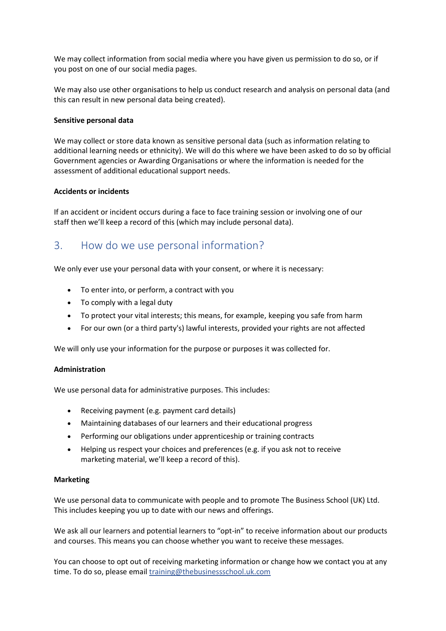We may collect information from social media where you have given us permission to do so, or if you post on one of our social media pages.

We may also use other organisations to help us conduct research and analysis on personal data (and this can result in new personal data being created).

#### **Sensitive personal data**

We may collect or store data known as sensitive personal data (such as information relating to additional learning needs or ethnicity). We will do this where we have been asked to do so by official Government agencies or Awarding Organisations or where the information is needed for the assessment of additional educational support needs.

#### **Accidents or incidents**

If an accident or incident occurs during a face to face training session or involving one of our staff then we'll keep a record of this (which may include personal data).

### 3. How do we use personal information?

We only ever use your personal data with your consent, or where it is necessary:

- To enter into, or perform, a contract with you
- To comply with a legal duty
- To protect your vital interests; this means, for example, keeping you safe from harm
- For our own (or a third party's) lawful interests, provided your rights are not affected

We will only use your information for the purpose or purposes it was collected for.

#### **Administration**

We use personal data for administrative purposes. This includes:

- Receiving payment (e.g. payment card details)
- Maintaining databases of our learners and their educational progress
- Performing our obligations under apprenticeship or training contracts
- Helping us respect your choices and preferences (e.g. if you ask not to receive marketing material, we'll keep a record of this).

#### **Marketing**

We use personal data to communicate with people and to promote The Business School (UK) Ltd. This includes keeping you up to date with our news and offerings.

We ask all our learners and potential learners to "opt-in" to receive information about our products and courses. This means you can choose whether you want to receive these messages.

You can choose to opt out of receiving marketing information or change how we contact you at any time. To do so, please email [training@thebusinessschool.uk.com](mailto:training@thebusinessschool.uk.com)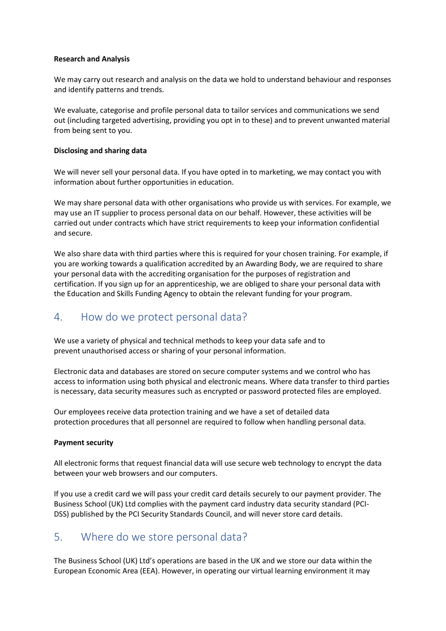#### **Research and Analysis**

We may carry out research and analysis on the data we hold to understand behaviour and responses and identify patterns and trends.

We evaluate, categorise and profile personal data to tailor services and communications we send out (including targeted advertising, providing you opt in to these) and to prevent unwanted material from being sent to you.

#### **Disclosing and sharing data**

We will never sell your personal data. If you have opted in to marketing, we may contact you with information about further opportunities in education.

We may share personal data with other organisations who provide us with services. For example, we may use an IT supplier to process personal data on our behalf. However, these activities will be carried out under contracts which have strict requirements to keep your information confidential and secure.

We also share data with third parties where this is required for your chosen training. For example, if you are working towards a qualification accredited by an Awarding Body, we are required to share your personal data with the accrediting organisation for the purposes of registration and certification. If you sign up for an apprenticeship, we are obliged to share your personal data with the Education and Skills Funding Agency to obtain the relevant funding for your program.

### 4. How do we protect personal data?

We use a variety of physical and technical methods to keep your data safe and to prevent unauthorised access or sharing of your personal information.

Electronic data and databases are stored on secure computer systems and we control who has access to information using both physical and electronic means. Where data transfer to third parties is necessary, data security measures such as encrypted or password protected files are employed.

Our employees receive data protection training and we have a set of detailed data protection procedures that all personnel are required to follow when handling personal data.

#### **Payment security**

All electronic forms that request financial data will use secure web technology to encrypt the data between your web browsers and our computers.

If you use a credit card we will pass your credit card details securely to our payment provider. The Business School (UK) Ltd complies with the payment card industry data security standard (PCI-DSS) published by the PCI Security Standards Council, and will never store card details.

### 5. Where do we store personal data?

The Business School (UK) Ltd's operations are based in the UK and we store our data within the European Economic Area (EEA). However, in operating our virtual learning environment it may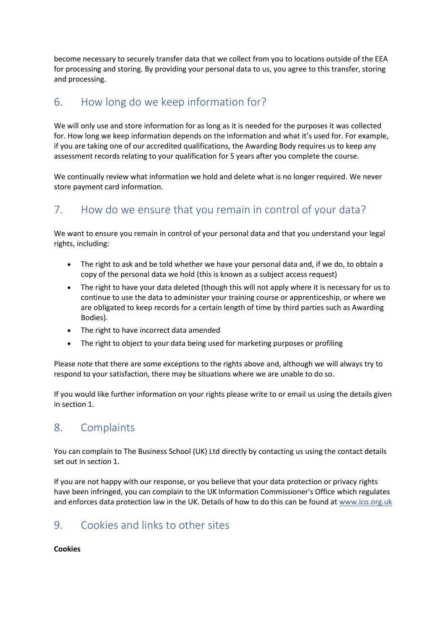become necessary to securely transfer data that we collect from you to locations outside of the EEA for processing and storing. By providing your personal data to us, you agree to this transfer, storing and processing.

## 6. How long do we keep information for?

We will only use and store information for as long as it is needed for the purposes it was collected for. How long we keep information depends on the information and what it's used for. For example, if you are taking one of our accredited qualifications, the Awarding Body requires us to keep any assessment records relating to your qualification for 5 years after you complete the course.

We continually review what information we hold and delete what is no longer required. We never store payment card information.

# 7. How do we ensure that you remain in control of your data?

We want to ensure you remain in control of your personal data and that you understand your legal rights, including:

- The right to ask and be told whether we have your personal data and, if we do, to obtain a copy of the personal data we hold (this is known as a subject access request)
- The right to have your data deleted (though this will not apply where it is necessary for us to continue to use the data to administer your training course or apprenticeship, or where we are obligated to keep records for a certain length of time by third parties such as Awarding Bodies).
- The right to have incorrect data amended
- The right to object to your data being used for marketing purposes or profiling

Please note that there are some exceptions to the rights above and, although we will always try to respond to your satisfaction, there may be situations where we are unable to do so.

If you would like further information on your rights please write to or email us using the details given in section 1.

### 8. Complaints

You can complain to The Business School (UK) Ltd directly by contacting us using the contact details set out in section 1.

If you are not happy with our response, or you believe that your data protection or privacy rights have been infringed, you can complain to the UK Information Commissioner's Office which regulates and enforces data protection law in the UK. Details of how to do this can be found a[t www.ico.org.uk](http://www.ico.org.uk/)

# 9. Cookies and links to other sites

### **Cookies**